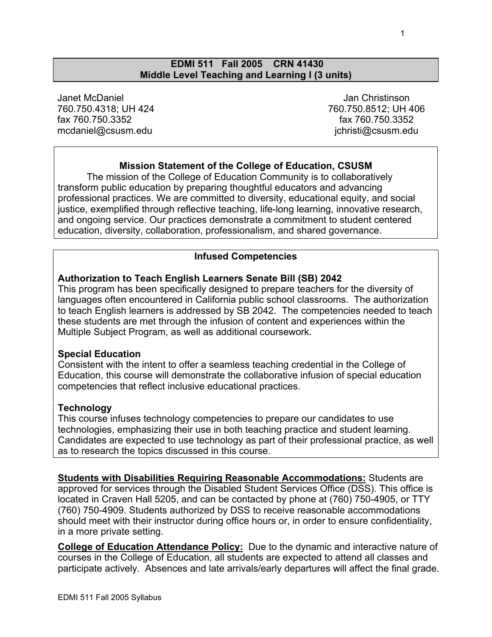#### **EDMI 511 Fall 2005 CRN 41430 Middle Level Teaching and Learning I (3 units)**

Janet McDaniel 760.750.4318; UH 424 fax 760.750.3352 mcdaniel@csusm.edu

 Jan Christinson 760.750.8512; UH 406 fax 760.750.3352 jchristi@csusm.edu

# **Mission Statement of the College of Education, CSUSM**

The mission of the College of Education Community is to collaboratively transform public education by preparing thoughtful educators and advancing professional practices. We are committed to diversity, educational equity, and social justice, exemplified through reflective teaching, life-long learning, innovative research, and ongoing service. Our practices demonstrate a commitment to student centered education, diversity, collaboration, professionalism, and shared governance.

#### **Infused Competencies**

#### **Authorization to Teach English Learners Senate Bill (SB) 2042**

This program has been specifically designed to prepare teachers for the diversity of languages often encountered in California public school classrooms. The authorization to teach English learners is addressed by SB 2042. The competencies needed to teach these students are met through the infusion of content and experiences within the Multiple Subject Program, as well as additional coursework.

#### **Special Education**

Consistent with the intent to offer a seamless teaching credential in the College of Education, this course will demonstrate the collaborative infusion of special education competencies that reflect inclusive educational practices.

#### **Technology**

This course infuses technology competencies to prepare our candidates to use technologies, emphasizing their use in both teaching practice and student learning. Candidates are expected to use technology as part of their professional practice, as well as to research the topics discussed in this course.

**Students with Disabilities Requiring Reasonable Accommodations:** Students are approved for services through the Disabled Student Services Office (DSS). This office is located in Craven Hall 5205, and can be contacted by phone at (760) 750-4905, or TTY (760) 750-4909. Students authorized by DSS to receive reasonable accommodations should meet with their instructor during office hours or, in order to ensure confidentiality, in a more private setting.

**College of Education Attendance Policy:** Due to the dynamic and interactive nature of courses in the College of Education, all students are expected to attend all classes and participate actively. Absences and late arrivals/early departures will affect the final grade.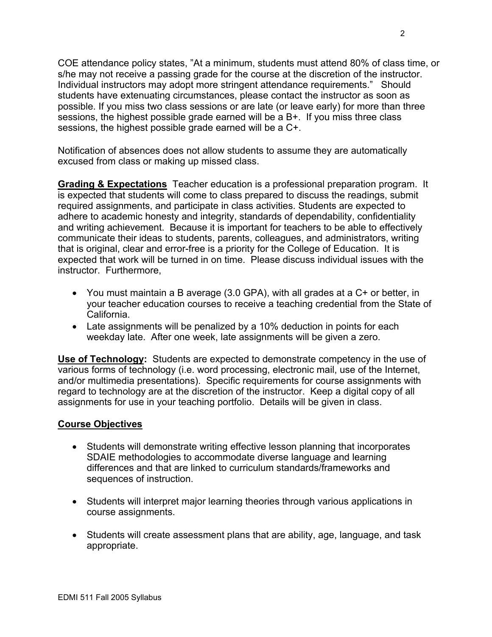COE attendance policy states, "At a minimum, students must attend 80% of class time, or s/he may not receive a passing grade for the course at the discretion of the instructor. Individual instructors may adopt more stringent attendance requirements." Should students have extenuating circumstances, please contact the instructor as soon as possible. If you miss two class sessions or are late (or leave early) for more than three sessions, the highest possible grade earned will be a B+. If you miss three class sessions, the highest possible grade earned will be a C+.

Notification of absences does not allow students to assume they are automatically excused from class or making up missed class.

**Grading & Expectations** Teacher education is a professional preparation program. It is expected that students will come to class prepared to discuss the readings, submit required assignments, and participate in class activities. Students are expected to adhere to academic honesty and integrity, standards of dependability, confidentiality and writing achievement. Because it is important for teachers to be able to effectively communicate their ideas to students, parents, colleagues, and administrators, writing that is original, clear and error-free is a priority for the College of Education. It is expected that work will be turned in on time. Please discuss individual issues with the instructor. Furthermore,

- You must maintain a B average (3.0 GPA), with all grades at a C+ or better, in your teacher education courses to receive a teaching credential from the State of California.
- Late assignments will be penalized by a 10% deduction in points for each weekday late. After one week, late assignments will be given a zero.

**Use of Technology:** Students are expected to demonstrate competency in the use of various forms of technology (i.e. word processing, electronic mail, use of the Internet, and/or multimedia presentations). Specific requirements for course assignments with regard to technology are at the discretion of the instructor. Keep a digital copy of all assignments for use in your teaching portfolio. Details will be given in class.

## **Course Objectives**

- Students will demonstrate writing effective lesson planning that incorporates SDAIE methodologies to accommodate diverse language and learning differences and that are linked to curriculum standards/frameworks and sequences of instruction.
- Students will interpret major learning theories through various applications in course assignments.
- Students will create assessment plans that are ability, age, language, and task appropriate.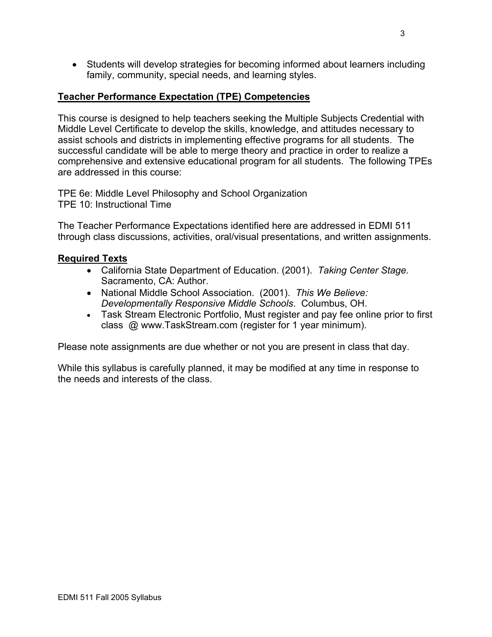• Students will develop strategies for becoming informed about learners including family, community, special needs, and learning styles.

## **Teacher Performance Expectation (TPE) Competencies**

This course is designed to help teachers seeking the Multiple Subjects Credential with Middle Level Certificate to develop the skills, knowledge, and attitudes necessary to assist schools and districts in implementing effective programs for all students. The successful candidate will be able to merge theory and practice in order to realize a comprehensive and extensive educational program for all students. The following TPEs are addressed in this course:

TPE 6e: Middle Level Philosophy and School Organization TPE 10: Instructional Time

The Teacher Performance Expectations identified here are addressed in EDMI 511 through class discussions, activities, oral/visual presentations, and written assignments.

### **Required Texts**

- California State Department of Education. (2001). *Taking Center Stage.*  Sacramento, CA: Author.
- National Middle School Association. (2001). *This We Believe: Developmentally Responsive Middle Schools*. Columbus, OH.
- Task Stream Electronic Portfolio, Must register and pay fee online prior to first class @ www.TaskStream.com (register for 1 year minimum).

Please note assignments are due whether or not you are present in class that day.

While this syllabus is carefully planned, it may be modified at any time in response to the needs and interests of the class.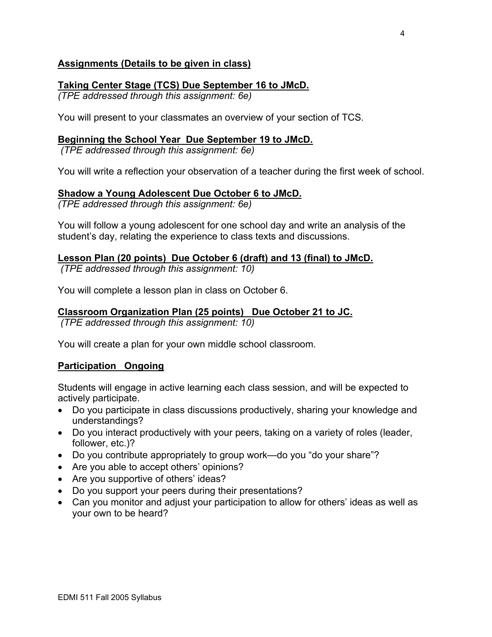# **Assignments (Details to be given in class)**

# **Taking Center Stage (TCS) Due September 16 to JMcD.**

*(TPE addressed through this assignment: 6e)* 

You will present to your classmates an overview of your section of TCS.

### **Beginning the School Year Due September 19 to JMcD.**

 *(TPE addressed through this assignment: 6e)* 

You will write a reflection your observation of a teacher during the first week of school.

### **Shadow a Young Adolescent Due October 6 to JMcD.**

*(TPE addressed through this assignment: 6e)* 

You will follow a young adolescent for one school day and write an analysis of the student's day, relating the experience to class texts and discussions.

### **Lesson Plan (20 points) Due October 6 (draft) and 13 (final) to JMcD.**

 *(TPE addressed through this assignment: 10)* 

You will complete a lesson plan in class on October 6.

# **Classroom Organization Plan (25 points) Due October 21 to JC.**

 *(TPE addressed through this assignment: 10)* 

You will create a plan for your own middle school classroom.

#### **Participation Ongoing**

Students will engage in active learning each class session, and will be expected to actively participate.

- Do you participate in class discussions productively, sharing your knowledge and understandings?
- Do you interact productively with your peers, taking on a variety of roles (leader, follower, etc.)?
- Do you contribute appropriately to group work—do you "do your share"?
- Are you able to accept others' opinions?
- Are you supportive of others' ideas?
- Do you support your peers during their presentations?
- Can you monitor and adjust your participation to allow for others' ideas as well as your own to be heard?